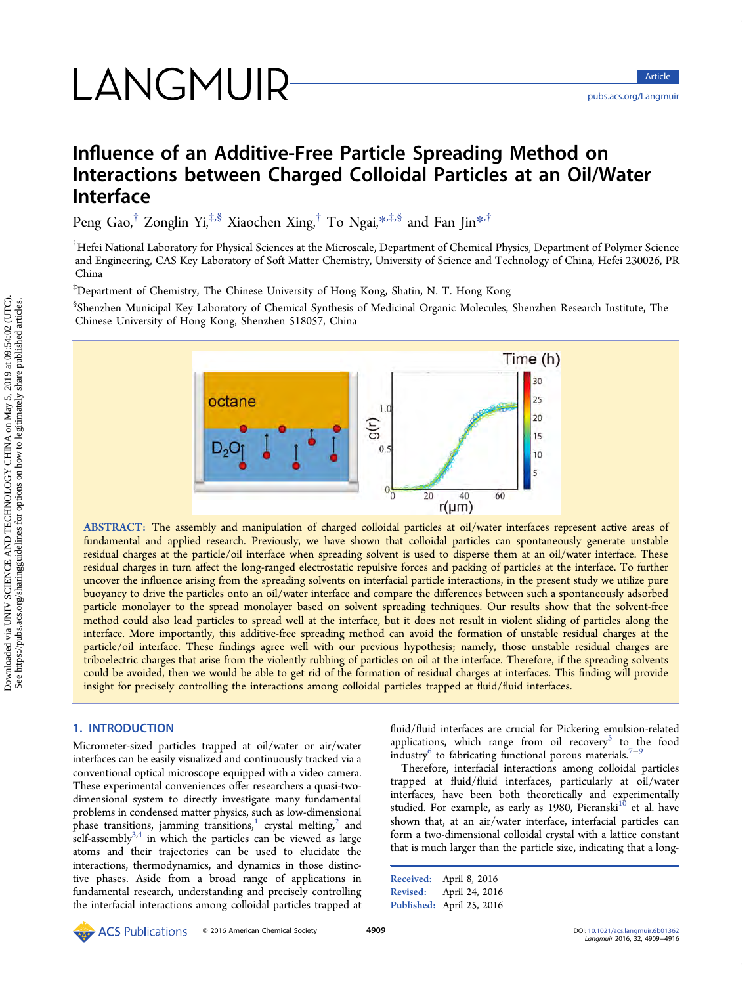# LANGMUIR

<pubs.acs.org/Langmuir>

# Influence of an Additive-Free Particle Spreading Method on Interactions between Charged Colloidal Particles at an Oil/Water Interface

Peng Gao,<sup>†</sup> Zonglin Yi,<sup>‡,§</sup> Xiaochen Xing,<sup>†</sup> To Ngai,<sup>[\\*](#page-6-0),‡,§</sup> and Fan Jin<sup>\*,†</sup>

 $^\dagger$ Hefei National Laboratory for Physical Sciences at the Microscale, Department of Chemical Physics, Department of Polymer Science and Engineering, CAS Key Laboratory of Soft Matter Chemistry, University of Science and Technology of China, Hefei 230026, PR China

‡ Department of Chemistry, The Chinese University of Hong Kong, Shatin, N. T. Hong Kong

§ Shenzhen Municipal Key Laboratory of Chemical Synthesis of Medicinal Organic Molecules, Shenzhen Research Institute, The Chinese University of Hong Kong, Shenzhen 518057, China



ABSTRACT: The assembly and manipulation of charged colloidal particles at oil/water interfaces represent active areas of fundamental and applied research. Previously, we have shown that colloidal particles can spontaneously generate unstable residual charges at the particle/oil interface when spreading solvent is used to disperse them at an oil/water interface. These residual charges in turn affect the long-ranged electrostatic repulsive forces and packing of particles at the interface. To further uncover the influence arising from the spreading solvents on interfacial particle interactions, in the present study we utilize pure buoyancy to drive the particles onto an oil/water interface and compare the differences between such a spontaneously adsorbed particle monolayer to the spread monolayer based on solvent spreading techniques. Our results show that the solvent-free method could also lead particles to spread well at the interface, but it does not result in violent sliding of particles along the interface. More importantly, this additive-free spreading method can avoid the formation of unstable residual charges at the particle/oil interface. These findings agree well with our previous hypothesis; namely, those unstable residual charges are triboelectric charges that arise from the violently rubbing of particles on oil at the interface. Therefore, if the spreading solvents could be avoided, then we would be able to get rid of the formation of residual charges at interfaces. This finding will provide insight for precisely controlling the interactions among colloidal particles trapped at fluid/fluid interfaces.

## 1. INTRODUCTION

Micrometer-sized particles trapped at oil/water or air/water interfaces can be easily visualized and continuously tracked via a conventional optical microscope equipped with a video camera. These experimental conveniences offer researchers a quasi-twodimensional system to directly investigate many fundamental problems in condensed matter physics, such as low-dimensional phase transitions, jamming transitions,<sup>[1](#page-6-0)</sup> crystal melting,<sup>[2](#page-6-0)</sup> and  $s$ elf-assembly $3,4$  $3,4$  $3,4$  in which the particles can be viewed as large atoms and their trajectories can be used to elucidate the interactions, thermodynamics, and dynamics in those distinctive phases. Aside from a broad range of applications in fundamental research, understanding and precisely controlling the interfacial interactions among colloidal particles trapped at fluid/fluid interfaces are crucial for Pickering emulsion-related applications, which range from oil recovery<sup>[5](#page-6-0)</sup> to the food  $\overline{\text{industry}}^6$  $\overline{\text{industry}}^6$  to fabricating functional porous materials.<sup>[7](#page-6-0)−[9](#page-6-0)</sup>

Therefore, interfacial interactions among colloidal particles trapped at fluid/fluid interfaces, particularly at oil/water interfaces, have been both theoretically and experimentally studied. For example, as early as 1980, Pieranski<sup>[10](#page-6-0)</sup> et al. have shown that, at an air/water interface, interfacial particles can form a two-dimensional colloidal crystal with a lattice constant that is much larger than the particle size, indicating that a long-

Received: April 8, 2016 Revised: April 24, 2016 Published: April 25, 2016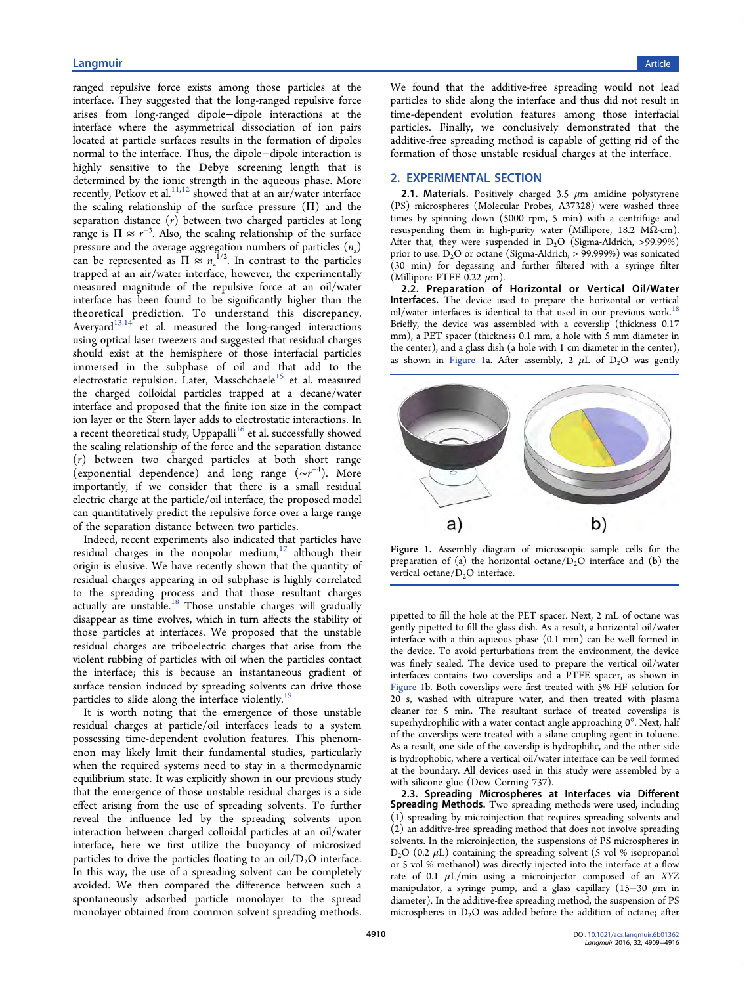# experiment of the control of the control of the control of the control of the control of the control of the control of the control of the control of the control of the control of the control of the control of the control o

ranged repulsive force exists among those particles at the interface. They suggested that the long-ranged repulsive force arises from long-ranged dipole−dipole interactions at the interface where the asymmetrical dissociation of ion pairs located at particle surfaces results in the formation of dipoles normal to the interface. Thus, the dipole−dipole interaction is highly sensitive to the Debye screening length that is determined by the ionic strength in the aqueous phase. More recently, Petkov et al.<sup>[11](#page-6-0),[12](#page-6-0)</sup> showed that at an air/water interface the scaling relationship of the surface pressure (Π) and the separation distance  $(r)$  between two charged particles at long range is  $\Pi \approx r^{-3}$ . Also, the scaling relationship of the surface pressure and the average aggregation numbers of particles  $(n_{a})$ can be represented as  $\Pi \approx n_a^{1/2}$ . In contrast to the particles trapped at an air/water interface, however, the experimentally measured magnitude of the repulsive force at an oil/water interface has been found to be significantly higher than the theoretical prediction. To understand this discrepancy, Averyard $13,14$  $13,14$  $13,14$  et al. measured the long-ranged interactions using optical laser tweezers and suggested that residual charges should exist at the hemisphere of those interfacial particles immersed in the subphase of oil and that add to the electrostatic repulsion. Later, Masschchaele<sup>[15](#page-6-0)</sup> et al. measured the charged colloidal particles trapped at a decane/water interface and proposed that the finite ion size in the compact ion layer or the Stern layer adds to electrostatic interactions. In a recent theoretical study, Uppapalli<sup>[16](#page-6-0)</sup> et al. successfully showed the scaling relationship of the force and the separation distance (r) between two charged particles at both short range (exponential dependence) and long range (∼r −4 ). More importantly, if we consider that there is a small residual electric charge at the particle/oil interface, the proposed model can quantitatively predict the repulsive force over a large range of the separation distance between two particles.

Indeed, recent experiments also indicated that particles have residual charges in the nonpolar medium, $17$  although their origin is elusive. We have recently shown that the quantity of residual charges appearing in oil subphase is highly correlated to the spreading process and that those resultant charges actually are unstable.[18](#page-6-0) Those unstable charges will gradually disappear as time evolves, which in turn affects the stability of those particles at interfaces. We proposed that the unstable residual charges are triboelectric charges that arise from the violent rubbing of particles with oil when the particles contact the interface; this is because an instantaneous gradient of surface tension induced by spreading solvents can drive those particles to slide along the interface violently.<sup>[19](#page-6-0)</sup>

It is worth noting that the emergence of those unstable residual charges at particle/oil interfaces leads to a system possessing time-dependent evolution features. This phenomenon may likely limit their fundamental studies, particularly when the required systems need to stay in a thermodynamic equilibrium state. It was explicitly shown in our previous study that the emergence of those unstable residual charges is a side effect arising from the use of spreading solvents. To further reveal the influence led by the spreading solvents upon interaction between charged colloidal particles at an oil/water interface, here we first utilize the buoyancy of microsized particles to drive the particles floating to an  $oil/D<sub>2</sub>O$  interface. In this way, the use of a spreading solvent can be completely avoided. We then compared the difference between such a spontaneously adsorbed particle monolayer to the spread monolayer obtained from common solvent spreading methods.

We found that the additive-free spreading would not lead particles to slide along the interface and thus did not result in time-dependent evolution features among those interfacial particles. Finally, we conclusively demonstrated that the additive-free spreading method is capable of getting rid of the formation of those unstable residual charges at the interface.

#### 2. EXPERIMENTAL SECTION

2.1. Materials. Positively charged 3.5  $\mu$ m amidine polystyrene (PS) microspheres (Molecular Probes, A37328) were washed three times by spinning down (5000 rpm, 5 min) with a centrifuge and resuspending them in high-purity water (Millipore, 18.2 MΩ·cm). After that, they were suspended in  $D_2O$  (Sigma-Aldrich, >99.99%) prior to use.  $D_2O$  or octane (Sigma-Aldrich, > 99.999%) was sonicated (30 min) for degassing and further filtered with a syringe filter (Millipore PTFE 0.22  $\mu$ m).

2.2. Preparation of Horizontal or Vertical Oil/Water Interfaces. The device used to prepare the horizontal or vertical oil/water interfaces is identical to that used in our previous work.<sup>1</sup> Briefly, the device was assembled with a coverslip (thickness 0.17 mm), a PET spacer (thickness 0.1 mm, a hole with 5 mm diameter in the center), and a glass dish (a hole with 1 cm diameter in the center), as shown in Figure 1a. After assembly, 2  $\mu$ L of D<sub>2</sub>O was gently



Figure 1. Assembly diagram of microscopic sample cells for the preparation of (a) the horizontal octane/ $D<sub>2</sub>O$  interface and (b) the vertical octane/ $D_2O$  interface.

pipetted to fill the hole at the PET spacer. Next, 2 mL of octane was gently pipetted to fill the glass dish. As a result, a horizontal oil/water interface with a thin aqueous phase (0.1 mm) can be well formed in the device. To avoid perturbations from the environment, the device was finely sealed. The device used to prepare the vertical oil/water interfaces contains two coverslips and a PTFE spacer, as shown in Figure 1b. Both coverslips were first treated with 5% HF solution for 20 s, washed with ultrapure water, and then treated with plasma cleaner for 5 min. The resultant surface of treated coverslips is superhydrophilic with a water contact angle approaching 0°. Next, half of the coverslips were treated with a silane coupling agent in toluene. As a result, one side of the coverslip is hydrophilic, and the other side is hydrophobic, where a vertical oil/water interface can be well formed at the boundary. All devices used in this study were assembled by a with silicone glue (Dow Corning 737).

2.3. Spreading Microspheres at Interfaces via Different Spreading Methods. Two spreading methods were used, including (1) spreading by microinjection that requires spreading solvents and (2) an additive-free spreading method that does not involve spreading solvents. In the microinjection, the suspensions of PS microspheres in  $D_2O$  (0.2  $\mu$ L) containing the spreading solvent (5 vol % isopropanol or 5 vol % methanol) was directly injected into the interface at a flow rate of 0.1  $\mu$ L/min using a microinjector composed of an XYZ manipulator, a syringe pump, and a glass capillary (15−30  $\mu$ m in diameter). In the additive-free spreading method, the suspension of PS microspheres in  $D_2O$  was added before the addition of octane; after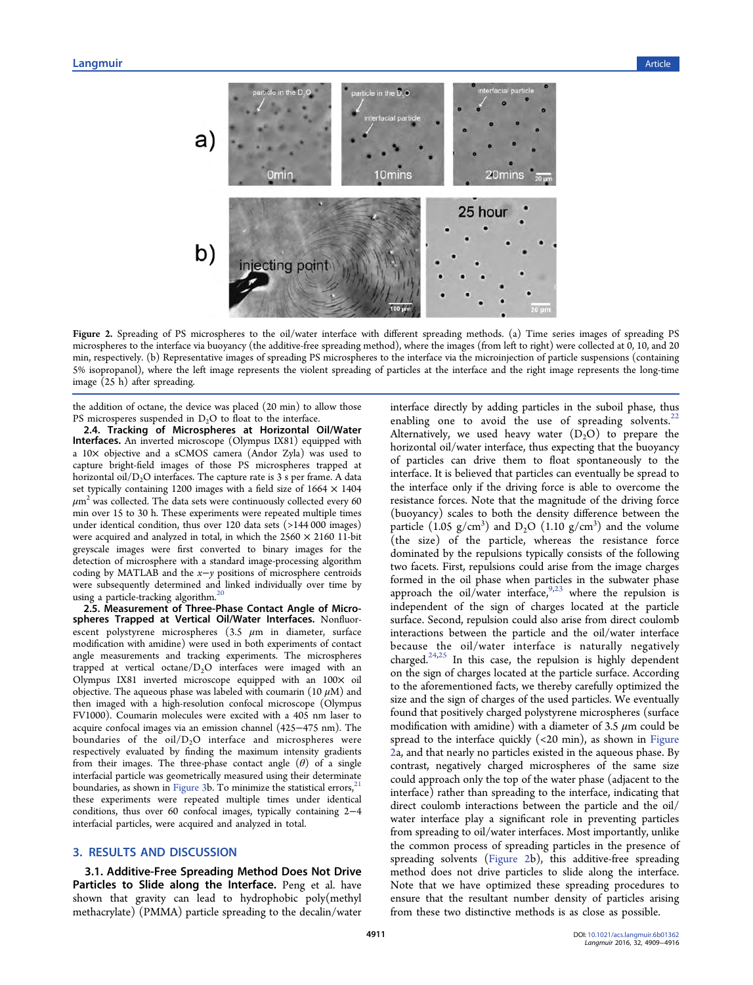

Figure 2. Spreading of PS microspheres to the oil/water interface with different spreading methods. (a) Time series images of spreading PS microspheres to the interface via buoyancy (the additive-free spreading method), where the images (from left to right) were collected at 0, 10, and 20 min, respectively. (b) Representative images of spreading PS microspheres to the interface via the microinjection of particle suspensions (containing 5% isopropanol), where the left image represents the violent spreading of particles at the interface and the right image represents the long-time image (25 h) after spreading.

the addition of octane, the device was placed (20 min) to allow those PS microsperes suspended in  $D_2O$  to float to the interface.

2.4. Tracking of Microspheres at Horizontal Oil/Water Interfaces. An inverted microscope (Olympus IX81) equipped with a 10× objective and a sCMOS camera (Andor Zyla) was used to capture bright-field images of those PS microspheres trapped at horizontal oil/ $D_2O$  interfaces. The capture rate is 3 s per frame. A data set typically containing 1200 images with a field size of  $1664 \times 1404$  $\mu$ m<sup>2</sup> was collected. The data sets were continuously collected every 60 min over 15 to 30 h. These experiments were repeated multiple times under identical condition, thus over 120 data sets (>144 000 images) were acquired and analyzed in total, in which the  $2560 \times 2160$  11-bit greyscale images were first converted to binary images for the detection of microsphere with a standard image-processing algorithm coding by MATLAB and the x−y positions of microsphere centroids were subsequently determined and linked individually over time by using a particle-tracking algorithm.<sup>[20](#page-6-0)</sup>

2.5. Measurement of Three-Phase Contact Angle of Microspheres Trapped at Vertical Oil/Water Interfaces. Nonfluorescent polystyrene microspheres  $(3.5 \mu m)$  in diameter, surface modification with amidine) were used in both experiments of contact angle measurements and tracking experiments. The microspheres trapped at vertical octane/ $D_2O$  interfaces were imaged with an Olympus IX81 inverted microscope equipped with an 100× oil objective. The aqueous phase was labeled with coumarin (10  $\mu$ M) and then imaged with a high-resolution confocal microscope (Olympus FV1000). Coumarin molecules were excited with a 405 nm laser to acquire confocal images via an emission channel (425−475 nm). The boundaries of the  $oil/D<sub>2</sub>O$  interface and microspheres were respectively evaluated by finding the maximum intensity gradients from their images. The three-phase contact angle  $(\theta)$  of a single interfacial particle was geometrically measured using their determinate boundaries, as shown in [Figure 3b](#page-3-0). To minimize the statistical errors, these experiments were repeated multiple times under identical conditions, thus over 60 confocal images, typically containing 2−4 interfacial particles, were acquired and analyzed in total.

### 3. RESULTS AND DISCUSSION

3.1. Additive-Free Spreading Method Does Not Drive Particles to Slide along the Interface. Peng et al. have shown that gravity can lead to hydrophobic poly(methyl methacrylate) (PMMA) particle spreading to the decalin/water

interface directly by adding particles in the suboil phase, thus enabling one to avoid the use of spreading solvents. $2^2$ Alternatively, we used heavy water  $(D_2O)$  to prepare the horizontal oil/water interface, thus expecting that the buoyancy of particles can drive them to float spontaneously to the interface. It is believed that particles can eventually be spread to the interface only if the driving force is able to overcome the resistance forces. Note that the magnitude of the driving force (buoyancy) scales to both the density difference between the particle  $(1.05 \text{ g/cm}^3)$  and  $D_2O$   $(1.10 \text{ g/cm}^3)$  and the volume (the size) of the particle, whereas the resistance force dominated by the repulsions typically consists of the following two facets. First, repulsions could arise from the image charges formed in the oil phase when particles in the subwater phase approach the oil/water interface,  $9.23$  $9.23$  $9.23$  where the repulsion is independent of the sign of charges located at the particle surface. Second, repulsion could also arise from direct coulomb interactions between the particle and the oil/water interface because the oil/water interface is naturally negatively charged.[24,25](#page-6-0) In this case, the repulsion is highly dependent on the sign of charges located at the particle surface. According to the aforementioned facts, we thereby carefully optimized the size and the sign of charges of the used particles. We eventually found that positively charged polystyrene microspheres (surface modification with amidine) with a diameter of 3.5  $\mu$ m could be spread to the interface quickly  $\left($  <20 min), as shown in Figure 2a, and that nearly no particles existed in the aqueous phase. By contrast, negatively charged microspheres of the same size could approach only the top of the water phase (adjacent to the interface) rather than spreading to the interface, indicating that direct coulomb interactions between the particle and the oil/ water interface play a significant role in preventing particles from spreading to oil/water interfaces. Most importantly, unlike the common process of spreading particles in the presence of spreading solvents (Figure 2b), this additive-free spreading method does not drive particles to slide along the interface. Note that we have optimized these spreading procedures to ensure that the resultant number density of particles arising from these two distinctive methods is as close as possible.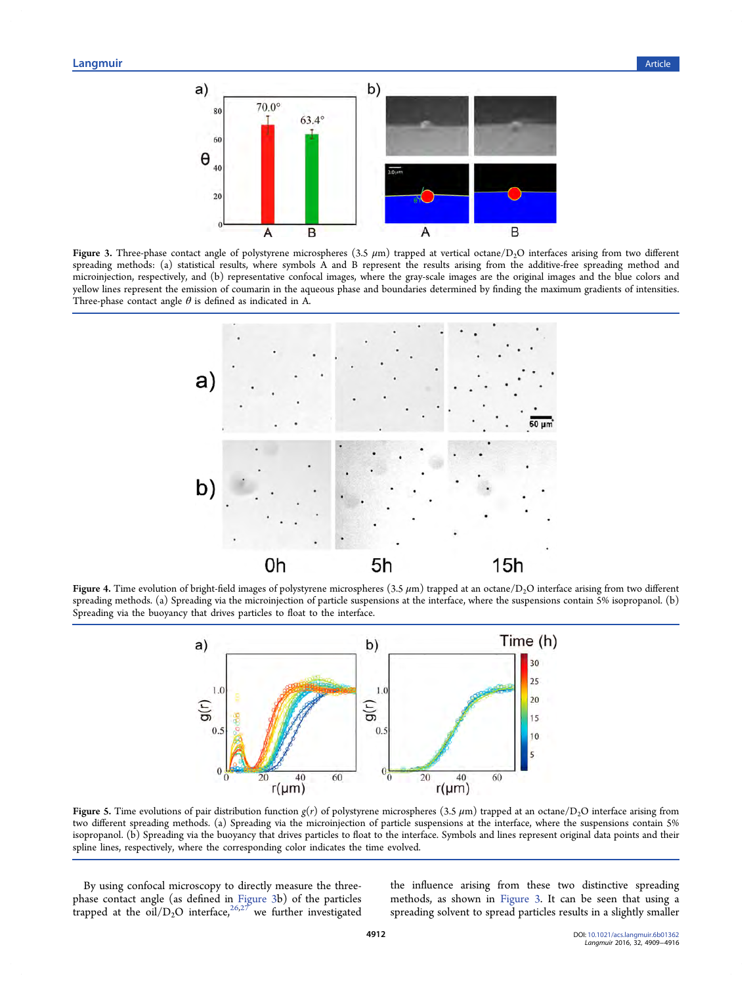<span id="page-3-0"></span>

Figure 3. Three-phase contact angle of polystyrene microspheres (3.5  $\mu$ m) trapped at vertical octane/D<sub>2</sub>O interfaces arising from two different spreading methods: (a) statistical results, where symbols A and B represent the results arising from the additive-free spreading method and microinjection, respectively, and (b) representative confocal images, where the gray-scale images are the original images and the blue colors and yellow lines represent the emission of coumarin in the aqueous phase and boundaries determined by finding the maximum gradients of intensities. Three-phase contact angle  $\theta$  is defined as indicated in A.



Figure 4. Time evolution of bright-field images of polystyrene microspheres  $(3.5 \mu m)$  trapped at an octane/D<sub>2</sub>O interface arising from two different spreading methods. (a) Spreading via the microinjection of particle suspensions at the interface, where the suspensions contain 5% isopropanol. (b) Spreading via the buoyancy that drives particles to float to the interface.



Figure 5. Time evolutions of pair distribution function  $g(r)$  of polystyrene microspheres (3.5  $\mu$ m) trapped at an octane/D<sub>2</sub>O interface arising from two different spreading methods. (a) Spreading via the microinjection of particle suspensions at the interface, where the suspensions contain 5% isopropanol. (b) Spreading via the buoyancy that drives particles to float to the interface. Symbols and lines represent original data points and their spline lines, respectively, where the corresponding color indicates the time evolved.

By using confocal microscopy to directly measure the threephase contact angle (as defined in Figure 3b) of the particles trapped at the  $\frac{\text{oil}}{D_2O}$  interface,  $\frac{26,27}{P}$  $\frac{26,27}{P}$  $\frac{26,27}{P}$  $\frac{26,27}{P}$  $\frac{26,27}{P}$  we further investigated

the influence arising from these two distinctive spreading methods, as shown in Figure 3. It can be seen that using a spreading solvent to spread particles results in a slightly smaller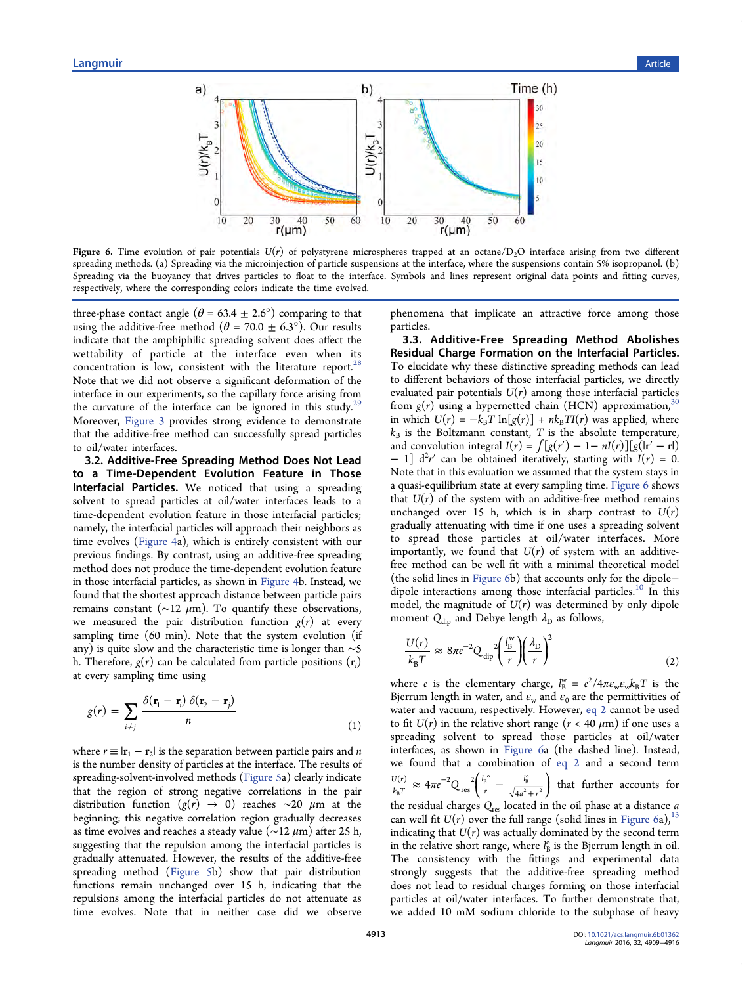<span id="page-4-0"></span>

Figure 6. Time evolution of pair potentials  $U(r)$  of polystyrene microspheres trapped at an octane/D<sub>2</sub>O interface arising from two different spreading methods. (a) Spreading via the microinjection of particle suspensions at the interface, where the suspensions contain 5% isopropanol. (b) Spreading via the buoyancy that drives particles to float to the interface. Symbols and lines represent original data points and fitting curves, respectively, where the corresponding colors indicate the time evolved.

three-phase contact angle ( $\theta$  = 63.4  $\pm$  2.6°) comparing to that using the additive-free method ( $\theta$  = 70.0  $\pm$  6.3°). Our results indicate that the amphiphilic spreading solvent does affect the wettability of particle at the interface even when its concentration is low, consistent with the literature report.<sup>[28](#page-7-0)</sup> Note that we did not observe a significant deformation of the interface in our experiments, so the capillary force arising from the curvature of the interface can be ignored in this study.<sup>[29](#page-7-0)</sup> Moreover, [Figure 3](#page-3-0) provides strong evidence to demonstrate that the additive-free method can successfully spread particles to oil/water interfaces.

3.2. Additive-Free Spreading Method Does Not Lead to a Time-Dependent Evolution Feature in Those Interfacial Particles. We noticed that using a spreading solvent to spread particles at oil/water interfaces leads to a time-dependent evolution feature in those interfacial particles; namely, the interfacial particles will approach their neighbors as time evolves [\(Figure 4](#page-3-0)a), which is entirely consistent with our previous findings. By contrast, using an additive-free spreading method does not produce the time-dependent evolution feature in those interfacial particles, as shown in [Figure 4](#page-3-0)b. Instead, we found that the shortest approach distance between particle pairs remains constant ( $\sim$ 12  $\mu$ m). To quantify these observations, we measured the pair distribution function  $g(r)$  at every sampling time (60 min). Note that the system evolution (if any) is quite slow and the characteristic time is longer than ∼5 h. Therefore,  $g(r)$  can be calculated from particle positions  $(\mathbf{r}_i)$ at every sampling time using

$$
g(r) = \sum_{i \neq j} \frac{\delta(\mathbf{r}_1 - \mathbf{r}_i) \, \delta(\mathbf{r}_2 - \mathbf{r}_j)}{n} \tag{1}
$$

where  $r \equiv |{\bf r}_1 - {\bf r}_2|$  is the separation between particle pairs and *n* is the number density of particles at the interface. The results of spreading-solvent-involved methods ([Figure 5a](#page-3-0)) clearly indicate that the region of strong negative correlations in the pair distribution function  $(g(r) \rightarrow 0)$  reaches ~20  $\mu$ m at the beginning; this negative correlation region gradually decreases as time evolves and reaches a steady value ( $\sim$ 12  $\mu$ m) after 25 h, suggesting that the repulsion among the interfacial particles is gradually attenuated. However, the results of the additive-free spreading method ([Figure 5](#page-3-0)b) show that pair distribution functions remain unchanged over 15 h, indicating that the repulsions among the interfacial particles do not attenuate as time evolves. Note that in neither case did we observe

phenomena that implicate an attractive force among those particles.

3.3. Additive-Free Spreading Method Abolishes Residual Charge Formation on the Interfacial Particles. To elucidate why these distinctive spreading methods can lead to different behaviors of those interfacial particles, we directly evaluated pair potentials  $U(r)$  among those interfacial particles from  $g(r)$  using a hypernetted chain (HCN) approximation, in which  $U(r) = -k_B T \ln[g(r)] + nk_B T I(r)$  was applied, where  $k_B$  is the Boltzmann constant, T is the absolute temperature, and convolution integral  $I(r) = \int [g(r') - 1 - nI(r)][g(r' - r])$ − 1]  $d^2r'$  can be obtained iteratively, starting with  $I(r) = 0$ . Note that in this evaluation we assumed that the system stays in a quasi-equilibrium state at every sampling time. Figure 6 shows that  $U(r)$  of the system with an additive-free method remains unchanged over 15 h, which is in sharp contrast to  $U(r)$ gradually attenuating with time if one uses a spreading solvent to spread those particles at oil/water interfaces. More importantly, we found that  $U(r)$  of system with an additivefree method can be well fit with a minimal theoretical model (the solid lines in Figure 6b) that accounts only for the dipole− dipole interactions among those interfacial particles.<sup>[10](#page-6-0)</sup> In this model, the magnitude of  $U(r)$  was determined by only dipole moment  $Q_{\text{dip}}$  and Debye length  $\lambda_{\text{D}}$  as follows,

$$
\frac{U(r)}{k_{\rm B}T} \approx 8\pi e^{-2} Q_{\rm dip}^2 \left(\frac{l_{\rm B}^{\rm w}}{r}\right) \left(\frac{\lambda_{\rm D}}{r}\right)^2 \tag{2}
$$

where *e* is the elementary charge,  $l_{\text{B}}^{\text{w}} = e^2/4\pi\varepsilon_{\text{w}}\varepsilon_{\text{w}}k_{\text{B}}T$  is the Bjerrum length in water, and  $\varepsilon_w$  and  $\varepsilon_0$  are the permittivities of water and vacuum, respectively. However, eq 2 cannot be used to fit  $U(r)$  in the relative short range  $(r < 40 \mu m)$  if one uses a spreading solvent to spread those particles at oil/water interfaces, as shown in Figure 6a (the dashed line). Instead, we found that a combination of eq 2 and a second term  $\approx 4\pi e^{-2}Q_{\text{res}}^2\left(\frac{l_{\text{B}}^{\text{o}}}{r}-\frac{l_{\text{B}}^{\text{o}}}{\sqrt{4a^2+r^2}}\right)$ ⎝  $\frac{U(r)}{k_{\rm B}T} \approx 4\pi e^{-2} Q_{\rm res}^2 \left( \frac{l_{\rm B}^{o}}{r} - \frac{l_{\rm B}^{o}}{\sqrt{4a^2 + r^2}} \right)$ *l r l*  $a^2 + r$  $\frac{r(r)}{r} \sim 4\pi e^{-2}$ res 2  $r_{\rm B}$  4  $r$   $\sqrt{4}$  $\frac{l_{\rm B}^{\rm o}}{l}$  –  $\frac{l_{\rm B}^{\rm o}}{\sqrt{4\sigma^2 + r^2}}$  that further accounts for the residual charges  $Q_{res}$  located in the oil phase at a distance  $a$ can well fit  $U(r)$  over the full range (solid lines in Figure 6a),<sup>[13](#page-6-0)</sup> indicating that  $U(r)$  was actually dominated by the second term in the relative short range, where  $l_{\text{B}}^{\text{o}}$  is the Bjerrum length in oil. The consistency with the fittings and experimental data strongly suggests that the additive-free spreading method does not lead to residual charges forming on those interfacial particles at oil/water interfaces. To further demonstrate that, we added 10 mM sodium chloride to the subphase of heavy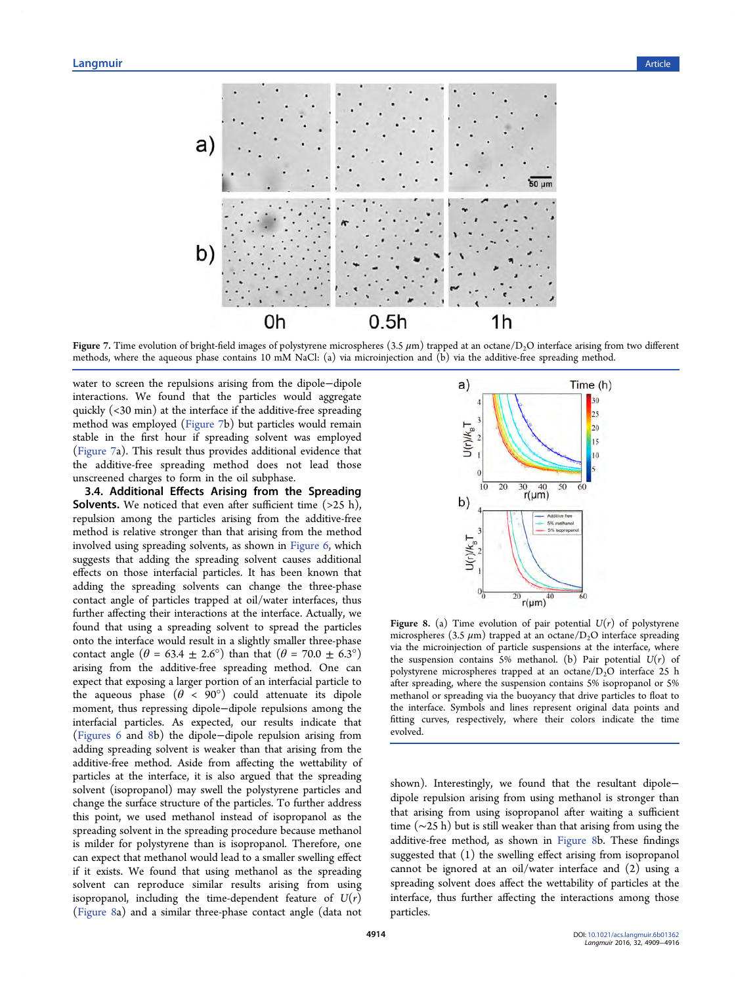

Figure 7. Time evolution of bright-field images of polystyrene microspheres  $(3.5 \mu m)$  trapped at an octane/D<sub>2</sub>O interface arising from two different methods, where the aqueous phase contains 10 mM NaCl: (a) via microinjection and (b) via the additive-free spreading method.

water to screen the repulsions arising from the dipole−dipole interactions. We found that the particles would aggregate quickly (<30 min) at the interface if the additive-free spreading method was employed (Figure 7b) but particles would remain stable in the first hour if spreading solvent was employed (Figure 7a). This result thus provides additional evidence that the additive-free spreading method does not lead those unscreened charges to form in the oil subphase.

3.4. Additional Effects Arising from the Spreading **Solvents.** We noticed that even after sufficient time  $(>25 h)$ , repulsion among the particles arising from the additive-free method is relative stronger than that arising from the method involved using spreading solvents, as shown in [Figure 6](#page-4-0), which suggests that adding the spreading solvent causes additional effects on those interfacial particles. It has been known that adding the spreading solvents can change the three-phase contact angle of particles trapped at oil/water interfaces, thus further affecting their interactions at the interface. Actually, we found that using a spreading solvent to spread the particles onto the interface would result in a slightly smaller three-phase contact angle  $(\theta = 63.4 \pm 2.6^{\circ})$  than that  $(\theta = 70.0 \pm 6.3^{\circ})$ arising from the additive-free spreading method. One can expect that exposing a larger portion of an interfacial particle to the aqueous phase  $(\theta < 90^{\circ})$  could attenuate its dipole moment, thus repressing dipole−dipole repulsions among the interfacial particles. As expected, our results indicate that [\(Figures 6](#page-4-0) and 8b) the dipole−dipole repulsion arising from adding spreading solvent is weaker than that arising from the additive-free method. Aside from affecting the wettability of particles at the interface, it is also argued that the spreading solvent (isopropanol) may swell the polystyrene particles and change the surface structure of the particles. To further address this point, we used methanol instead of isopropanol as the spreading solvent in the spreading procedure because methanol is milder for polystyrene than is isopropanol. Therefore, one can expect that methanol would lead to a smaller swelling effect if it exists. We found that using methanol as the spreading solvent can reproduce similar results arising from using isopropanol, including the time-dependent feature of  $U(r)$ (Figure 8a) and a similar three-phase contact angle (data not



Figure 8. (a) Time evolution of pair potential  $U(r)$  of polystyrene microspheres (3.5  $\mu$ m) trapped at an octane/D<sub>2</sub>O interface spreading via the microinjection of particle suspensions at the interface, where the suspension contains 5% methanol. (b) Pair potential  $U(r)$  of polystyrene microspheres trapped at an octane/ $D_2$ O interface 25 h after spreading, where the suspension contains 5% isopropanol or 5% methanol or spreading via the buoyancy that drive particles to float to the interface. Symbols and lines represent original data points and fitting curves, respectively, where their colors indicate the time evolved.

shown). Interestingly, we found that the resultant dipole− dipole repulsion arising from using methanol is stronger than that arising from using isopropanol after waiting a sufficient time (∼25 h) but is still weaker than that arising from using the additive-free method, as shown in Figure 8b. These findings suggested that (1) the swelling effect arising from isopropanol cannot be ignored at an oil/water interface and (2) using a spreading solvent does affect the wettability of particles at the interface, thus further affecting the interactions among those particles.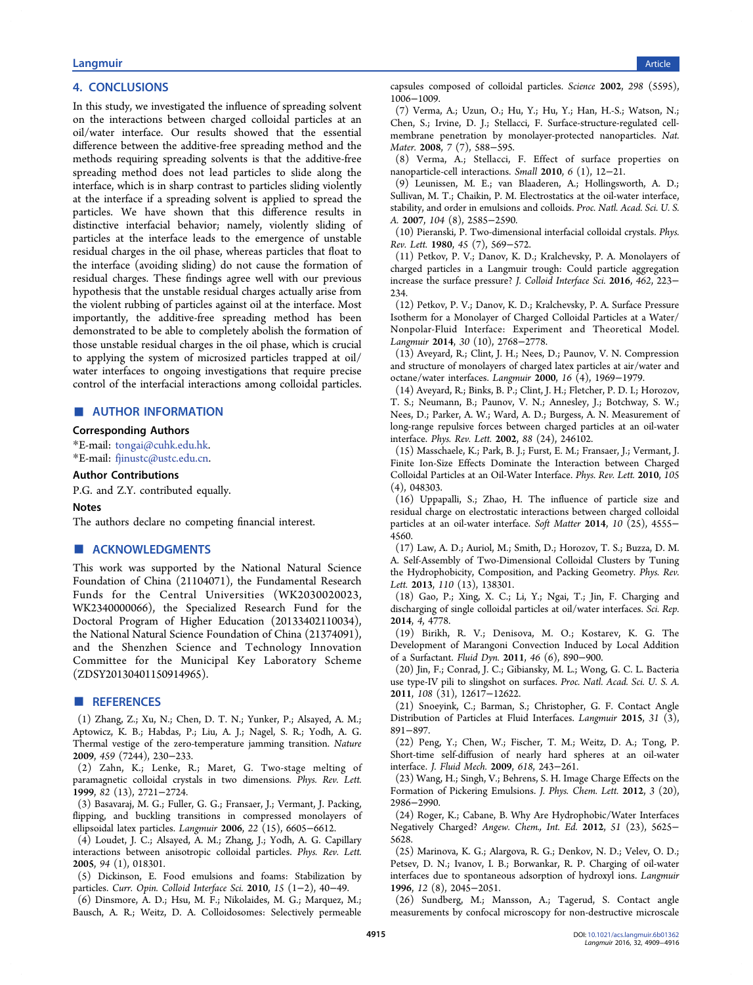# <span id="page-6-0"></span>experiment of the control of the control of the control of the control of the control of the control of the control of the control of the control of the control of the control of the control of the control of the control o

## 4. CONCLUSIONS

In this study, we investigated the influence of spreading solvent on the interactions between charged colloidal particles at an oil/water interface. Our results showed that the essential difference between the additive-free spreading method and the methods requiring spreading solvents is that the additive-free spreading method does not lead particles to slide along the interface, which is in sharp contrast to particles sliding violently at the interface if a spreading solvent is applied to spread the particles. We have shown that this difference results in distinctive interfacial behavior; namely, violently sliding of particles at the interface leads to the emergence of unstable residual charges in the oil phase, whereas particles that float to the interface (avoiding sliding) do not cause the formation of residual charges. These findings agree well with our previous hypothesis that the unstable residual charges actually arise from the violent rubbing of particles against oil at the interface. Most importantly, the additive-free spreading method has been demonstrated to be able to completely abolish the formation of those unstable residual charges in the oil phase, which is crucial to applying the system of microsized particles trapped at oil/ water interfaces to ongoing investigations that require precise control of the interfacial interactions among colloidal particles.

#### ■ AUTHOR INFORMATION

#### Corresponding Authors

\*E-mail: [tongai@cuhk.edu.hk.](mailto:tongai@cuhk.edu.hk) \*E-mail: [fjinustc@ustc.edu.cn](mailto:fjinustc@ustc.edu.cn).

#### Author Contributions

P.G. and Z.Y. contributed equally.

#### Notes

The authors declare no competing financial interest.

### ■ ACKNOWLEDGMENTS

This work was supported by the National Natural Science Foundation of China (21104071), the Fundamental Research Funds for the Central Universities (WK2030020023, WK2340000066), the Specialized Research Fund for the Doctoral Program of Higher Education (20133402110034), the National Natural Science Foundation of China (21374091), and the Shenzhen Science and Technology Innovation Committee for the Municipal Key Laboratory Scheme (ZDSY20130401150914965).

#### ■ REFERENCES

(1) Zhang, Z.; Xu, N.; Chen, D. T. N.; Yunker, P.; Alsayed, A. M.; Aptowicz, K. B.; Habdas, P.; Liu, A. J.; Nagel, S. R.; Yodh, A. G. Thermal vestige of the zero-temperature jamming transition. Nature 2009, 459 (7244), 230−233.

(2) Zahn, K.; Lenke, R.; Maret, G. Two-stage melting of paramagnetic colloidal crystals in two dimensions. Phys. Rev. Lett. 1999, 82 (13), 2721−2724.

(3) Basavaraj, M. G.; Fuller, G. G.; Fransaer, J.; Vermant, J. Packing, flipping, and buckling transitions in compressed monolayers of ellipsoidal latex particles. Langmuir 2006, 22 (15), 6605−6612.

(4) Loudet, J. C.; Alsayed, A. M.; Zhang, J.; Yodh, A. G. Capillary interactions between anisotropic colloidal particles. Phys. Rev. Lett. 2005, 94 (1), 018301.

(5) Dickinson, E. Food emulsions and foams: Stabilization by particles. Curr. Opin. Colloid Interface Sci. 2010, 15 (1−2), 40−49.

(6) Dinsmore, A. D.; Hsu, M. F.; Nikolaides, M. G.; Marquez, M.; Bausch, A. R.; Weitz, D. A. Colloidosomes: Selectively permeable capsules composed of colloidal particles. Science 2002, 298 (5595), 1006−1009.

(7) Verma, A.; Uzun, O.; Hu, Y.; Hu, Y.; Han, H.-S.; Watson, N.; Chen, S.; Irvine, D. J.; Stellacci, F. Surface-structure-regulated cellmembrane penetration by monolayer-protected nanoparticles. Nat. Mater. 2008, 7 (7), 588−595.

(8) Verma, A.; Stellacci, F. Effect of surface properties on nanoparticle-cell interactions. Small 2010, 6 (1), 12−21.

(9) Leunissen, M. E.; van Blaaderen, A.; Hollingsworth, A. D.; Sullivan, M. T.; Chaikin, P. M. Electrostatics at the oil-water interface, stability, and order in emulsions and colloids. Proc. Natl. Acad. Sci. U. S. A. 2007, 104 (8), 2585−2590.

(10) Pieranski, P. Two-dimensional interfacial colloidal crystals. Phys. Rev. Lett. 1980, 45 (7), 569−572.

(11) Petkov, P. V.; Danov, K. D.; Kralchevsky, P. A. Monolayers of charged particles in a Langmuir trough: Could particle aggregation increase the surface pressure? J. Colloid Interface Sci. 2016, 462, 223− 234.

(12) Petkov, P. V.; Danov, K. D.; Kralchevsky, P. A. Surface Pressure Isotherm for a Monolayer of Charged Colloidal Particles at a Water/ Nonpolar-Fluid Interface: Experiment and Theoretical Model. Langmuir 2014, 30 (10), 2768−2778.

(13) Aveyard, R.; Clint, J. H.; Nees, D.; Paunov, V. N. Compression and structure of monolayers of charged latex particles at air/water and octane/water interfaces. Langmuir 2000, 16 (4), 1969−1979.

(14) Aveyard, R.; Binks, B. P.; Clint, J. H.; Fletcher, P. D. I.; Horozov, T. S.; Neumann, B.; Paunov, V. N.; Annesley, J.; Botchway, S. W.; Nees, D.; Parker, A. W.; Ward, A. D.; Burgess, A. N. Measurement of long-range repulsive forces between charged particles at an oil-water interface. Phys. Rev. Lett. 2002, 88 (24), 246102.

(15) Masschaele, K.; Park, B. J.; Furst, E. M.; Fransaer, J.; Vermant, J. Finite Ion-Size Effects Dominate the Interaction between Charged Colloidal Particles at an Oil-Water Interface. Phys. Rev. Lett. 2010, 105 (4), 048303.

(16) Uppapalli, S.; Zhao, H. The influence of particle size and residual charge on electrostatic interactions between charged colloidal particles at an oil-water interface. Soft Matter 2014, 10 (25), 4555− 4560.

(17) Law, A. D.; Auriol, M.; Smith, D.; Horozov, T. S.; Buzza, D. M. A. Self-Assembly of Two-Dimensional Colloidal Clusters by Tuning the Hydrophobicity, Composition, and Packing Geometry. Phys. Rev. Lett. 2013, 110 (13), 138301.

(18) Gao, P.; Xing, X. C.; Li, Y.; Ngai, T.; Jin, F. Charging and discharging of single colloidal particles at oil/water interfaces. Sci. Rep. 2014, 4, 4778.

(19) Birikh, R. V.; Denisova, M. O.; Kostarev, K. G. The Development of Marangoni Convection Induced by Local Addition of a Surfactant. Fluid Dyn. 2011, 46 (6), 890−900.

(20) Jin, F.; Conrad, J. C.; Gibiansky, M. L.; Wong, G. C. L. Bacteria use type-IV pili to slingshot on surfaces. Proc. Natl. Acad. Sci. U. S. A. 2011, 108 (31), 12617−12622.

(21) Snoeyink, C.; Barman, S.; Christopher, G. F. Contact Angle Distribution of Particles at Fluid Interfaces. Langmuir 2015, 31 (3), 891−897.

(22) Peng, Y.; Chen, W.; Fischer, T. M.; Weitz, D. A.; Tong, P. Short-time self-diffusion of nearly hard spheres at an oil-water interface. J. Fluid Mech. 2009, 618, 243−261.

(23) Wang, H.; Singh, V.; Behrens, S. H. Image Charge Effects on the Formation of Pickering Emulsions. J. Phys. Chem. Lett. 2012, 3 (20), 2986−2990.

(24) Roger, K.; Cabane, B. Why Are Hydrophobic/Water Interfaces Negatively Charged? Angew. Chem., Int. Ed. 2012, 51 (23), 5625− 5628.

(25) Marinova, K. G.; Alargova, R. G.; Denkov, N. D.; Velev, O. D.; Petsev, D. N.; Ivanov, I. B.; Borwankar, R. P. Charging of oil-water interfaces due to spontaneous adsorption of hydroxyl ions. Langmuir 1996, 12 (8), 2045−2051.

(26) Sundberg, M.; Mansson, A.; Tagerud, S. Contact angle measurements by confocal microscopy for non-destructive microscale